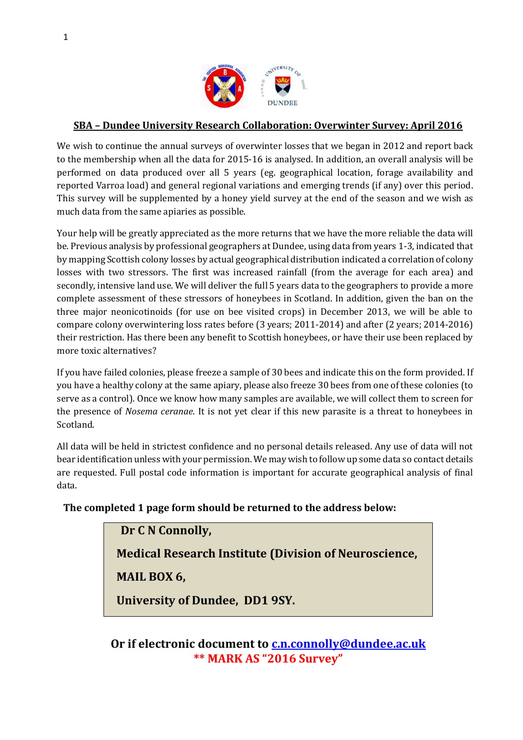

# **SBA – Dundee University Research Collaboration: Overwinter Survey: April 2016**

We wish to continue the annual surveys of overwinter losses that we began in 2012 and report back to the membership when all the data for 2015-16 is analysed. In addition, an overall analysis will be performed on data produced over all 5 years (eg. geographical location, forage availability and reported Varroa load) and general regional variations and emerging trends (if any) over this period. This survey will be supplemented by a honey yield survey at the end of the season and we wish as much data from the same apiaries as possible.

Your help will be greatly appreciated as the more returns that we have the more reliable the data will be. Previous analysis by professional geographers at Dundee, using data from years 1-3, indicated that by mapping Scottish colony losses by actual geographical distribution indicated a correlation of colony losses with two stressors. The first was increased rainfall (from the average for each area) and secondly, intensive land use. We will deliver the full 5 years data to the geographers to provide a more complete assessment of these stressors of honeybees in Scotland. In addition, given the ban on the three major neonicotinoids (for use on bee visited crops) in December 2013, we will be able to compare colony overwintering loss rates before (3 years; 2011-2014) and after (2 years; 2014-2016) their restriction. Has there been any benefit to Scottish honeybees, or have their use been replaced by more toxic alternatives?

If you have failed colonies, please freeze a sample of 30 bees and indicate this on the form provided. If you have a healthy colony at the same apiary, please also freeze 30 bees from one of these colonies (to serve as a control). Once we know how many samples are available, we will collect them to screen for the presence of *Nosema ceranae*. It is not yet clear if this new parasite is a threat to honeybees in Scotland.

All data will be held in strictest confidence and no personal details released. Any use of data will not bear identification unless with your permission. We may wish to follow up some data so contact details are requested. Full postal code information is important for accurate geographical analysis of final data.

**The completed 1 page form should be returned to the address below:**

**Dr C N Connolly,**

**Medical Research Institute (Division of Neuroscience,** 

**MAIL BOX 6,** 

**University of Dundee, DD1 9SY.** 

**Or if electronic document to [c.n.connolly@dundee.ac.uk](mailto:c.n.connolly@dundee.ac.uk) \*\* MARK AS "2016 Survey"**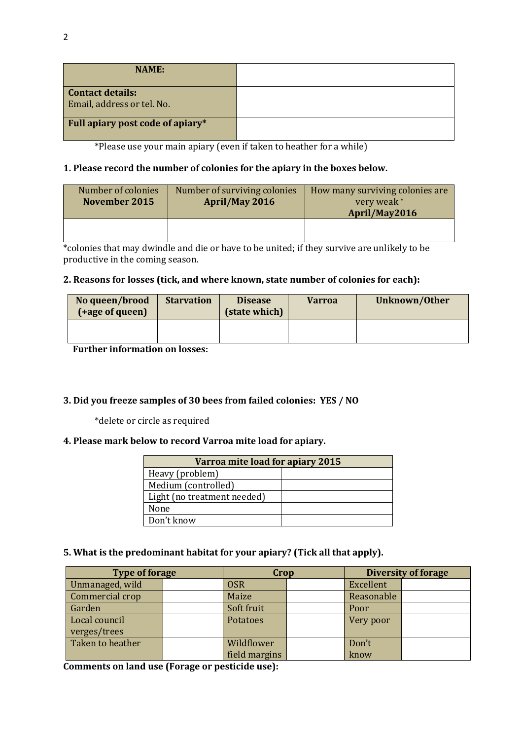| <b>NAME:</b>                                          |  |
|-------------------------------------------------------|--|
| <b>Contact details:</b><br>Email, address or tel. No. |  |
| Full apiary post code of apiary*                      |  |

\*Please use your main apiary (even if taken to heather for a while)

## **1. Please record the number of colonies for the apiary in the boxes below.**

| Number of colonies<br>November 2015 | Number of surviving colonies<br>April/May 2016 | How many surviving colonies are<br>very weak*<br>April/May2016 |
|-------------------------------------|------------------------------------------------|----------------------------------------------------------------|
|                                     |                                                |                                                                |

\*colonies that may dwindle and die or have to be united; if they survive are unlikely to be productive in the coming season.

### **2. Reasons for losses (tick, and where known, state number of colonies for each):**

| No queen/brood<br>(+age of queen) | <b>Starvation</b> | <b>Disease</b><br>(state which) | <b>Varroa</b> | Unknown/Other |  |
|-----------------------------------|-------------------|---------------------------------|---------------|---------------|--|
|                                   |                   |                                 |               |               |  |

**Further information on losses:**

### **3. Did you freeze samples of 30 bees from failed colonies: YES / NO**

\*delete or circle as required

### **4. Please mark below to record Varroa mite load for apiary.**

| Varroa mite load for apiary 2015 |  |  |  |  |
|----------------------------------|--|--|--|--|
| Heavy (problem)                  |  |  |  |  |
| Medium (controlled)              |  |  |  |  |
| Light (no treatment needed)      |  |  |  |  |
| None                             |  |  |  |  |
| Don't know                       |  |  |  |  |

### **5. What is the predominant habitat for your apiary? (Tick all that apply).**

| <b>Type of forage</b> |  | Crop          |  | Diversity of forage |  |
|-----------------------|--|---------------|--|---------------------|--|
| Unmanaged, wild       |  | <b>OSR</b>    |  | Excellent           |  |
| Commercial crop       |  | Maize         |  | Reasonable          |  |
| Garden                |  | Soft fruit    |  | Poor                |  |
| Local council         |  | Potatoes      |  | Very poor           |  |
| verges/trees          |  |               |  |                     |  |
| Taken to heather      |  | Wildflower    |  | Don't               |  |
|                       |  | field margins |  | know                |  |

**Comments on land use (Forage or pesticide use):**